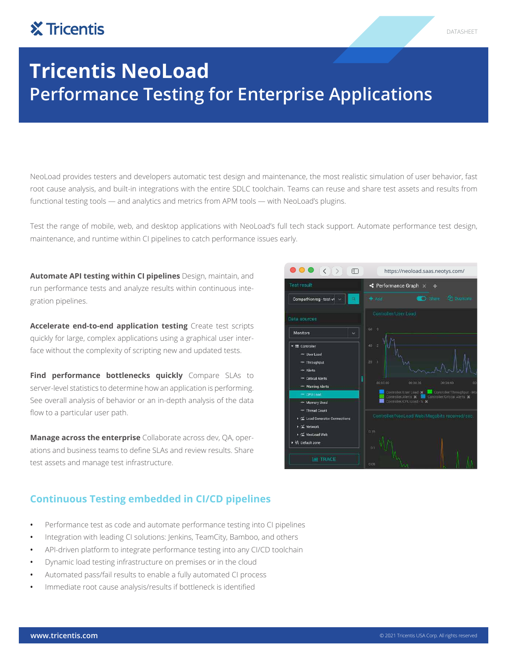# **X** Tricentis

# **Tricentis NeoLoad Performance Testing for Enterprise Applications**

NeoLoad provides testers and developers automatic test design and maintenance, the most realistic simulation of user behavior, fast root cause analysis, and built-in integrations with the entire SDLC toolchain. Teams can reuse and share test assets and results from functional testing tools — and analytics and metrics from APM tools — with NeoLoad's plugins.

Test the range of mobile, web, and desktop applications with NeoLoad's full tech stack support. Automate performance test design, maintenance, and runtime within CI pipelines to catch performance issues early.

**Automate API testing within CI pipelines** Design, maintain, and run performance tests and analyze results within continuous integration pipelines.

**Accelerate end-to-end application testing** Create test scripts quickly for large, complex applications using a graphical user interface without the complexity of scripting new and updated tests.

**Find performance bottlenecks quickly** Compare SLAs to server-level statistics to determine how an application is performing. See overall analysis of behavior or an in-depth analysis of the data flow to a particular user path.

**Manage across the enterprise** Collaborate across dev, QA, operations and business teams to define SLAs and review results. Share test assets and manage test infrastructure.

# **Continuous Testing embedded in CI/CD pipelines**

- **•** Performance test as code and automate performance testing into CI pipelines
- **•** Integration with leading CI solutions: Jenkins, TeamCity, Bamboo, and others
- **•** API-driven platform to integrate performance testing into any CI/CD toolchain
- **•** Dynamic load testing infrastructure on premises or in the cloud
- **•** Automated pass/fail results to enable a fully automated CI process
- **•** Immediate root cause analysis/results if bottleneck is identified